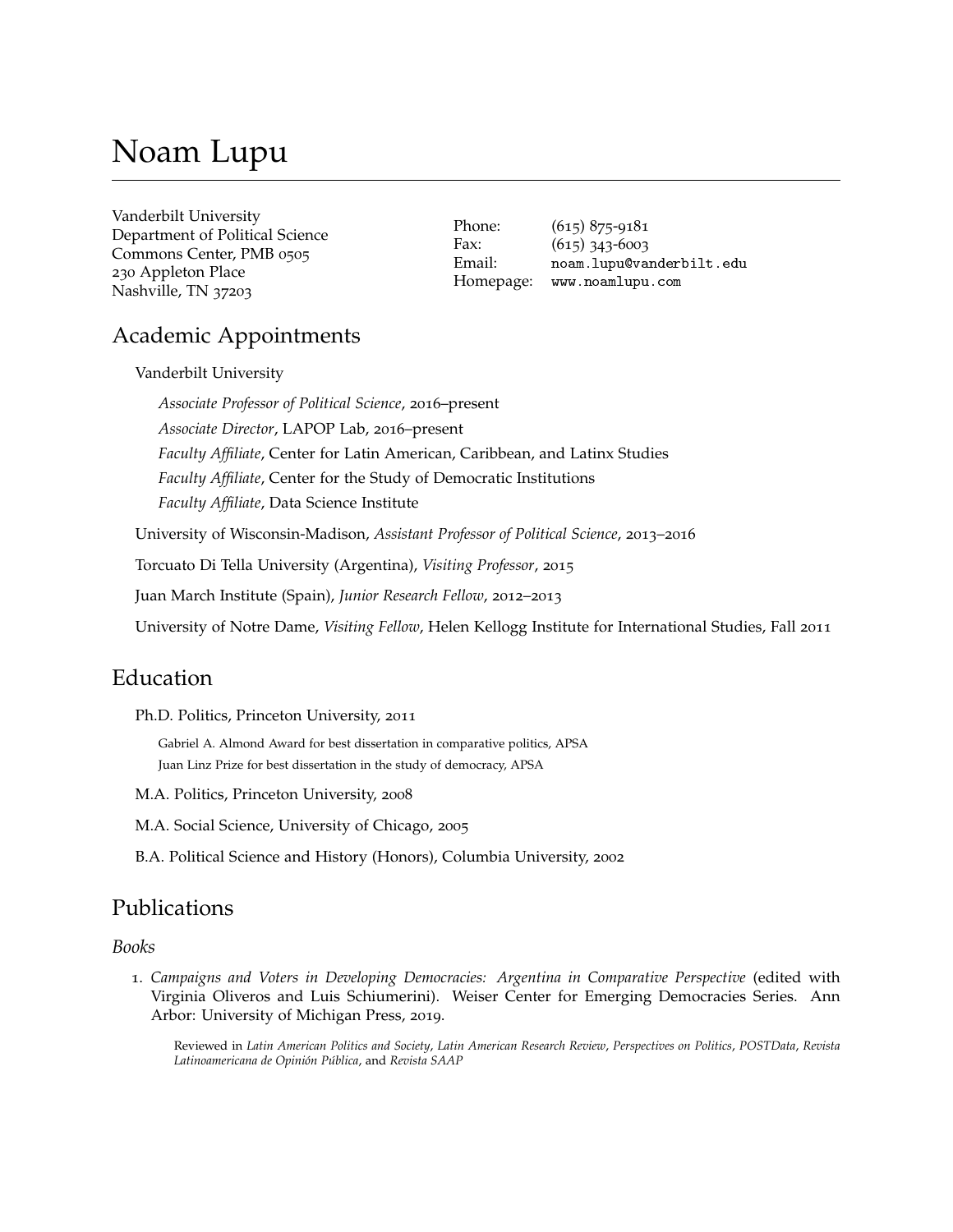# Noam Lupu

| Vanderbilt University           |
|---------------------------------|
| Department of Political Science |
| Commons Center, PMB 0505        |
| 230 Appleton Place              |
| Nashville, TN 37203             |

Phone: (615) 875-9181 Fax: (615) 343-6003 Email: [noam.lupu@vanderbilt.edu](mailto:noam.lupu@vanderbilt.edu) Homepage: <www.noamlupu.com>

# Academic Appointments

Vanderbilt University

*Associate Professor of Political Science*, 2016–present *Associate Director*, LAPOP Lab, 2016–present *Faculty Affiliate*, Center for Latin American, Caribbean, and Latinx Studies *Faculty Affiliate*, Center for the Study of Democratic Institutions *Faculty Affiliate*, Data Science Institute University of Wisconsin-Madison, *Assistant Professor of Political Science*, 2013–2016

Torcuato Di Tella University (Argentina), *Visiting Professor*, 2015

Juan March Institute (Spain), *Junior Research Fellow*, 2012–2013

University of Notre Dame, *Visiting Fellow*, Helen Kellogg Institute for International Studies, Fall 2011

# Education

Ph.D. Politics, Princeton University, 2011

Gabriel A. Almond Award for best dissertation in comparative politics, APSA Juan Linz Prize for best dissertation in the study of democracy, APSA

M.A. Politics, Princeton University, 2008

M.A. Social Science, University of Chicago, 2005

B.A. Political Science and History (Honors), Columbia University, 2002

## Publications

### *Books*

1. *Campaigns and Voters in Developing Democracies: Argentina in Comparative Perspective* (edited with Virginia Oliveros and Luis Schiumerini). Weiser Center for Emerging Democracies Series. Ann Arbor: University of Michigan Press, 2019.

Reviewed in *Latin American Politics and Society*, *Latin American Research Review*, *Perspectives on Politics*, *POSTData*, *Revista Latinoamericana de Opinión Pública*, and *Revista SAAP*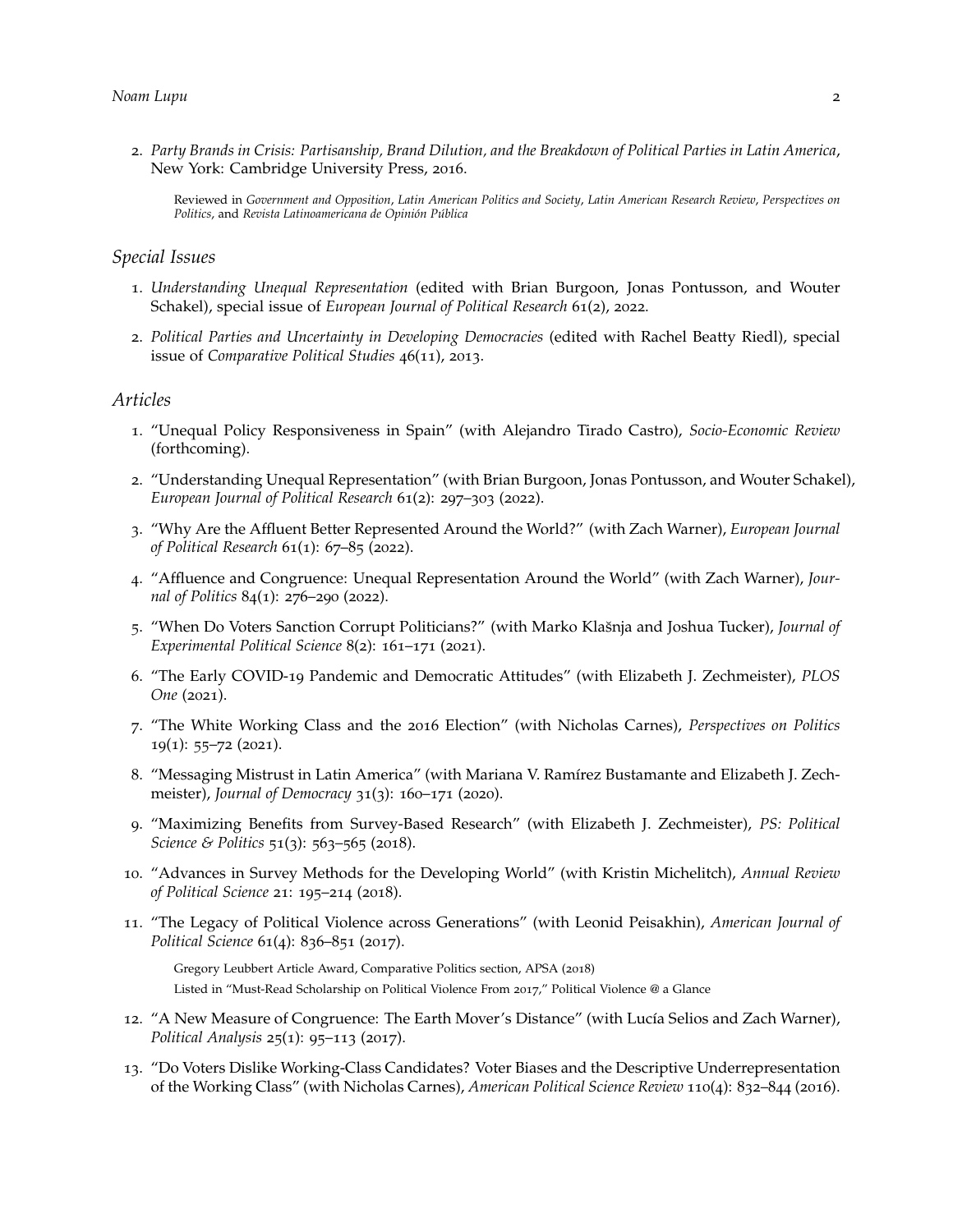- 2. *Party Brands in Crisis: Partisanship, Brand Dilution, and the Breakdown of Political Parties in Latin America*, New York: Cambridge University Press, 2016.
	- Reviewed in *Government and Opposition*, *Latin American Politics and Society*, *Latin American Research Review*, *Perspectives on Politics*, and *Revista Latinoamericana de Opinión Pública*

### *Special Issues*

- 1. *Understanding Unequal Representation* (edited with Brian Burgoon, Jonas Pontusson, and Wouter Schakel), special issue of *European Journal of Political Research* 61(2), 2022.
- 2. *Political Parties and Uncertainty in Developing Democracies* (edited with Rachel Beatty Riedl), special issue of *Comparative Political Studies* 46(11), 2013.

#### *Articles*

- 1. "Unequal Policy Responsiveness in Spain" (with Alejandro Tirado Castro), *Socio-Economic Review* (forthcoming).
- 2. "Understanding Unequal Representation" (with Brian Burgoon, Jonas Pontusson, and Wouter Schakel), *European Journal of Political Research* 61(2): 297–303 (2022).
- 3. "Why Are the Affluent Better Represented Around the World?" (with Zach Warner), *European Journal of Political Research* 61(1): 67–85 (2022).
- 4. "Affluence and Congruence: Unequal Representation Around the World" (with Zach Warner), *Journal of Politics* 84(1): 276–290 (2022).
- 5. "When Do Voters Sanction Corrupt Politicians?" (with Marko Klasnja and Joshua Tucker), ˘ *Journal of Experimental Political Science* 8(2): 161–171 (2021).
- 6. "The Early COVID-19 Pandemic and Democratic Attitudes" (with Elizabeth J. Zechmeister), *PLOS One* (2021).
- 7. "The White Working Class and the 2016 Election" (with Nicholas Carnes), *Perspectives on Politics* 19(1): 55–72 (2021).
- 8. "Messaging Mistrust in Latin America" (with Mariana V. Ramírez Bustamante and Elizabeth J. Zechmeister), *Journal of Democracy* 31(3): 160–171 (2020).
- 9. "Maximizing Benefits from Survey-Based Research" (with Elizabeth J. Zechmeister), *PS: Political Science & Politics* 51(3): 563–565 (2018).
- 10. "Advances in Survey Methods for the Developing World" (with Kristin Michelitch), *Annual Review of Political Science* 21: 195–214 (2018).
- 11. "The Legacy of Political Violence across Generations" (with Leonid Peisakhin), *American Journal of Political Science* 61(4): 836–851 (2017).

Gregory Leubbert Article Award, Comparative Politics section, APSA (2018) Listed in "Must-Read Scholarship on Political Violence From 2017," Political Violence @ a Glance

- 12. "A New Measure of Congruence: The Earth Mover's Distance" (with Lucía Selios and Zach Warner), *Political Analysis* 25(1): 95–113 (2017).
- 13. "Do Voters Dislike Working-Class Candidates? Voter Biases and the Descriptive Underrepresentation of the Working Class" (with Nicholas Carnes), *American Political Science Review* 110(4): 832–844 (2016).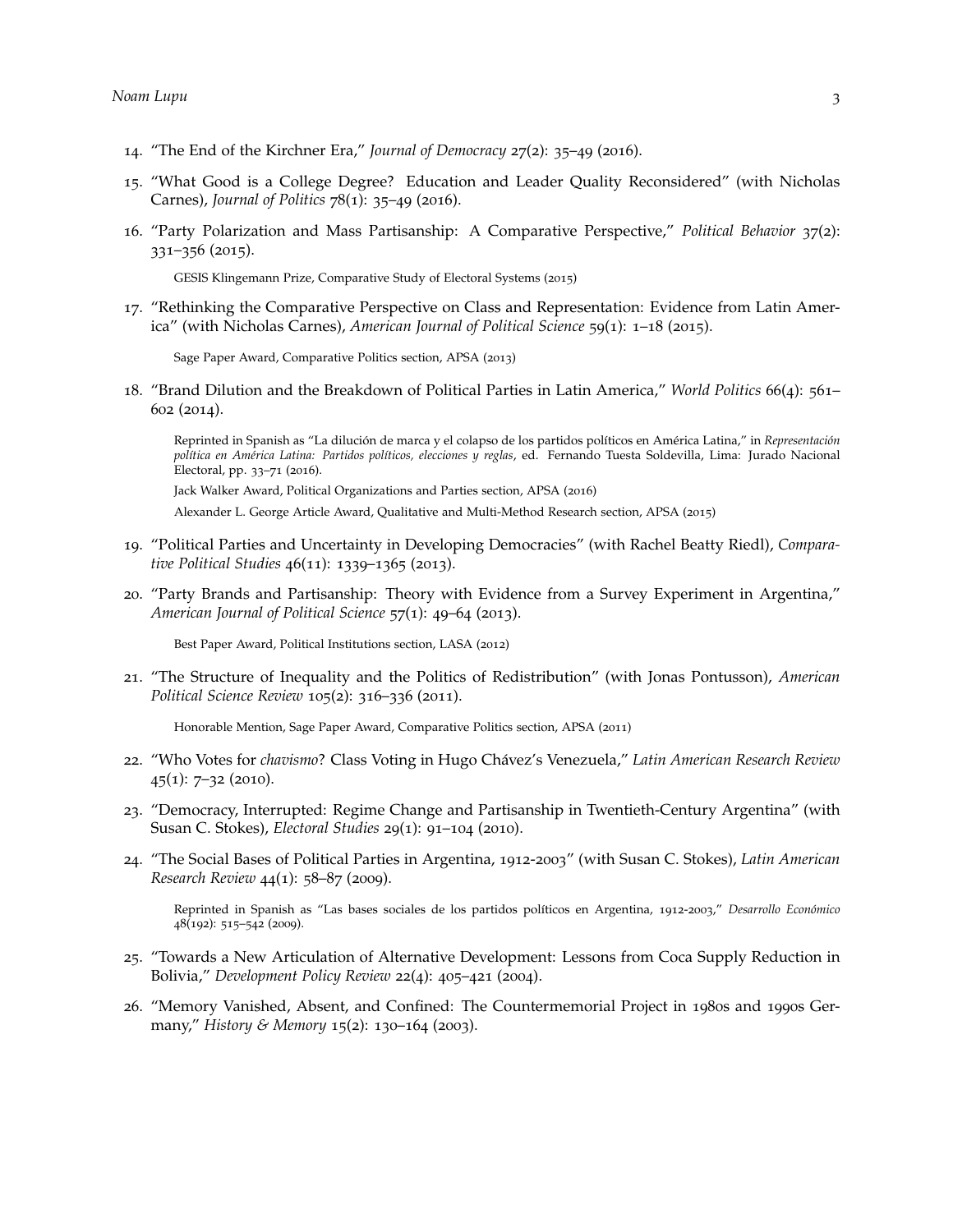- 14. "The End of the Kirchner Era," *Journal of Democracy* 27(2): 35–49 (2016).
- 15. "What Good is a College Degree? Education and Leader Quality Reconsidered" (with Nicholas Carnes), *Journal of Politics* 78(1): 35–49 (2016).
- 16. "Party Polarization and Mass Partisanship: A Comparative Perspective," *Political Behavior* 37(2): 331–356 (2015).

GESIS Klingemann Prize, Comparative Study of Electoral Systems (2015)

17. "Rethinking the Comparative Perspective on Class and Representation: Evidence from Latin America" (with Nicholas Carnes), *American Journal of Political Science* 59(1): 1–18 (2015).

Sage Paper Award, Comparative Politics section, APSA (2013)

18. "Brand Dilution and the Breakdown of Political Parties in Latin America," *World Politics* 66(4): 561– 602 (2014).

Reprinted in Spanish as "La dilución de marca y el colapso de los partidos políticos en América Latina," in *Representación política en América Latina: Partidos políticos, elecciones y reglas*, ed. Fernando Tuesta Soldevilla, Lima: Jurado Nacional Electoral, pp. 33–71 (2016).

Jack Walker Award, Political Organizations and Parties section, APSA (2016)

Alexander L. George Article Award, Qualitative and Multi-Method Research section, APSA (2015)

- 19. "Political Parties and Uncertainty in Developing Democracies" (with Rachel Beatty Riedl), *Comparative Political Studies* 46(11): 1339–1365 (2013).
- 20. "Party Brands and Partisanship: Theory with Evidence from a Survey Experiment in Argentina," *American Journal of Political Science* 57(1): 49–64 (2013).

Best Paper Award, Political Institutions section, LASA (2012)

21. "The Structure of Inequality and the Politics of Redistribution" (with Jonas Pontusson), *American Political Science Review* 105(2): 316–336 (2011).

Honorable Mention, Sage Paper Award, Comparative Politics section, APSA (2011)

- 22. "Who Votes for *chavismo*? Class Voting in Hugo Chávez's Venezuela," *Latin American Research Review*  $45(1)$ : 7-32 (2010).
- 23. "Democracy, Interrupted: Regime Change and Partisanship in Twentieth-Century Argentina" (with Susan C. Stokes), *Electoral Studies* 29(1): 91–104 (2010).
- 24. "The Social Bases of Political Parties in Argentina, 1912-2003" (with Susan C. Stokes), *Latin American Research Review* 44(1): 58–87 (2009).

Reprinted in Spanish as "Las bases sociales de los partidos políticos en Argentina, 1912-2003," *Desarrollo Económico* 48(192): 515–542 (2009).

- 25. "Towards a New Articulation of Alternative Development: Lessons from Coca Supply Reduction in Bolivia," *Development Policy Review* 22(4): 405–421 (2004).
- 26. "Memory Vanished, Absent, and Confined: The Countermemorial Project in 1980s and 1990s Germany," *History & Memory* 15(2): 130–164 (2003).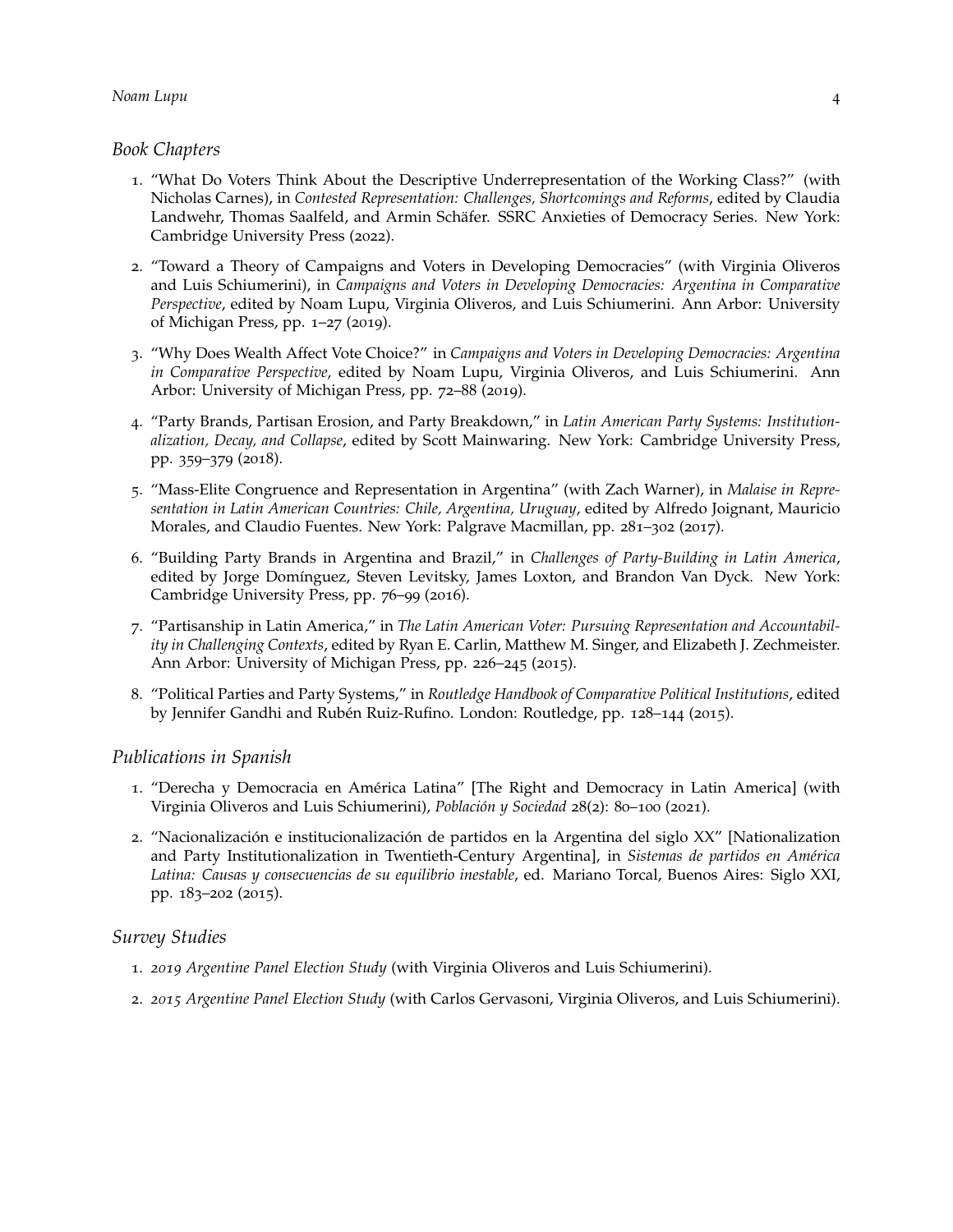### *Book Chapters*

- 1. "What Do Voters Think About the Descriptive Underrepresentation of the Working Class?" (with Nicholas Carnes), in *Contested Representation: Challenges, Shortcomings and Reforms*, edited by Claudia Landwehr, Thomas Saalfeld, and Armin Schäfer. SSRC Anxieties of Democracy Series. New York: Cambridge University Press (2022).
- 2. "Toward a Theory of Campaigns and Voters in Developing Democracies" (with Virginia Oliveros and Luis Schiumerini), in *Campaigns and Voters in Developing Democracies: Argentina in Comparative Perspective*, edited by Noam Lupu, Virginia Oliveros, and Luis Schiumerini. Ann Arbor: University of Michigan Press, pp. 1–27 (2019).
- 3. "Why Does Wealth Affect Vote Choice?" in *Campaigns and Voters in Developing Democracies: Argentina in Comparative Perspective*, edited by Noam Lupu, Virginia Oliveros, and Luis Schiumerini. Ann Arbor: University of Michigan Press, pp. 72–88 (2019).
- 4. "Party Brands, Partisan Erosion, and Party Breakdown," in *Latin American Party Systems: Institutionalization, Decay, and Collapse*, edited by Scott Mainwaring. New York: Cambridge University Press, pp. 359–379 (2018).
- 5. "Mass-Elite Congruence and Representation in Argentina" (with Zach Warner), in *Malaise in Representation in Latin American Countries: Chile, Argentina, Uruguay*, edited by Alfredo Joignant, Mauricio Morales, and Claudio Fuentes. New York: Palgrave Macmillan, pp. 281–302 (2017).
- 6. "Building Party Brands in Argentina and Brazil," in *Challenges of Party-Building in Latin America*, edited by Jorge Domínguez, Steven Levitsky, James Loxton, and Brandon Van Dyck. New York: Cambridge University Press, pp. 76–99 (2016).
- 7. "Partisanship in Latin America," in *The Latin American Voter: Pursuing Representation and Accountability in Challenging Contexts*, edited by Ryan E. Carlin, Matthew M. Singer, and Elizabeth J. Zechmeister. Ann Arbor: University of Michigan Press, pp. 226–245 (2015).
- 8. "Political Parties and Party Systems," in *Routledge Handbook of Comparative Political Institutions*, edited by Jennifer Gandhi and Rubén Ruiz-Rufino. London: Routledge, pp. 128–144 (2015).

### *Publications in Spanish*

- 1. "Derecha y Democracia en América Latina" [The Right and Democracy in Latin America] (with Virginia Oliveros and Luis Schiumerini), *Población y Sociedad* 28(2): 80–100 (2021).
- 2. "Nacionalización e institucionalización de partidos en la Argentina del siglo XX" [Nationalization and Party Institutionalization in Twentieth-Century Argentina], in *Sistemas de partidos en América Latina: Causas y consecuencias de su equilibrio inestable*, ed. Mariano Torcal, Buenos Aires: Siglo XXI, pp. 183–202 (2015).

### *Survey Studies*

- 1. *2019 Argentine Panel Election Study* (with Virginia Oliveros and Luis Schiumerini).
- 2. *2015 Argentine Panel Election Study* (with Carlos Gervasoni, Virginia Oliveros, and Luis Schiumerini).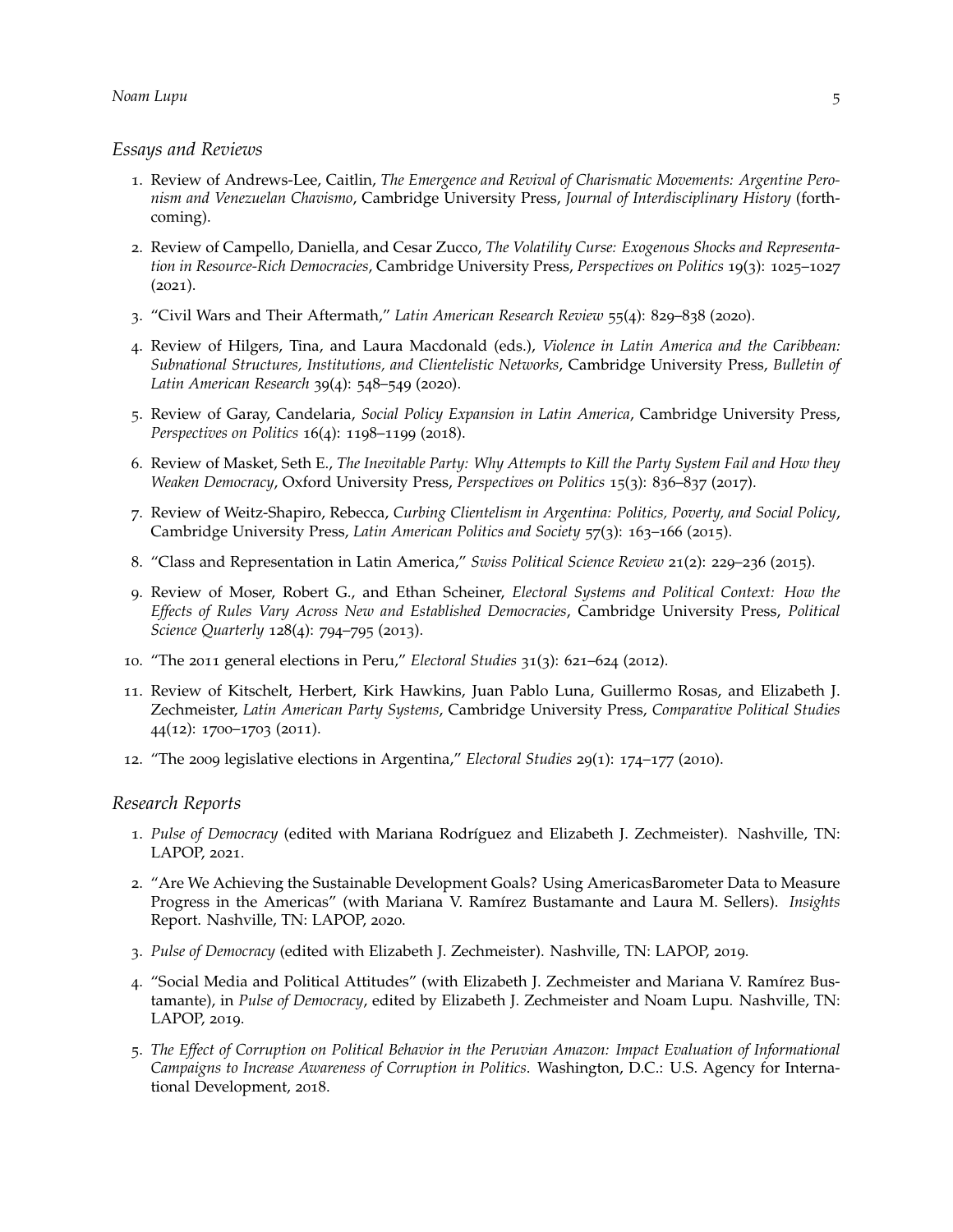#### *Essays and Reviews*

- 1. Review of Andrews-Lee, Caitlin, *The Emergence and Revival of Charismatic Movements: Argentine Peronism and Venezuelan Chavismo*, Cambridge University Press, *Journal of Interdisciplinary History* (forthcoming).
- 2. Review of Campello, Daniella, and Cesar Zucco, *The Volatility Curse: Exogenous Shocks and Representation in Resource-Rich Democracies*, Cambridge University Press, *Perspectives on Politics* 19(3): 1025–1027  $(2021).$
- 3. "Civil Wars and Their Aftermath," *Latin American Research Review* 55(4): 829–838 (2020).
- 4. Review of Hilgers, Tina, and Laura Macdonald (eds.), *Violence in Latin America and the Caribbean: Subnational Structures, Institutions, and Clientelistic Networks*, Cambridge University Press, *Bulletin of Latin American Research* 39(4): 548–549 (2020).
- 5. Review of Garay, Candelaria, *Social Policy Expansion in Latin America*, Cambridge University Press, *Perspectives on Politics* 16(4): 1198–1199 (2018).
- 6. Review of Masket, Seth E., *The Inevitable Party: Why Attempts to Kill the Party System Fail and How they Weaken Democracy*, Oxford University Press, *Perspectives on Politics* 15(3): 836–837 (2017).
- 7. Review of Weitz-Shapiro, Rebecca, *Curbing Clientelism in Argentina: Politics, Poverty, and Social Policy*, Cambridge University Press, *Latin American Politics and Society* 57(3): 163–166 (2015).
- 8. "Class and Representation in Latin America," *Swiss Political Science Review* 21(2): 229–236 (2015).
- 9. Review of Moser, Robert G., and Ethan Scheiner, *Electoral Systems and Political Context: How the Effects of Rules Vary Across New and Established Democracies*, Cambridge University Press, *Political Science Quarterly* 128(4): 794–795 (2013).
- 10. "The 2011 general elections in Peru," *Electoral Studies* 31(3): 621–624 (2012).
- 11. Review of Kitschelt, Herbert, Kirk Hawkins, Juan Pablo Luna, Guillermo Rosas, and Elizabeth J. Zechmeister, *Latin American Party Systems*, Cambridge University Press, *Comparative Political Studies* 44(12): 1700–1703 (2011).
- 12. "The 2009 legislative elections in Argentina," *Electoral Studies* 29(1): 174–177 (2010).

### *Research Reports*

- 1. *Pulse of Democracy* (edited with Mariana Rodríguez and Elizabeth J. Zechmeister). Nashville, TN: LAPOP, 2021.
- 2. "Are We Achieving the Sustainable Development Goals? Using AmericasBarometer Data to Measure Progress in the Americas" (with Mariana V. Ramírez Bustamante and Laura M. Sellers). *Insights* Report. Nashville, TN: LAPOP, 2020.
- 3. *Pulse of Democracy* (edited with Elizabeth J. Zechmeister). Nashville, TN: LAPOP, 2019.
- 4. "Social Media and Political Attitudes" (with Elizabeth J. Zechmeister and Mariana V. Ramírez Bustamante), in *Pulse of Democracy*, edited by Elizabeth J. Zechmeister and Noam Lupu. Nashville, TN: LAPOP, 2019.
- 5. *The Effect of Corruption on Political Behavior in the Peruvian Amazon: Impact Evaluation of Informational Campaigns to Increase Awareness of Corruption in Politics*. Washington, D.C.: U.S. Agency for International Development, 2018.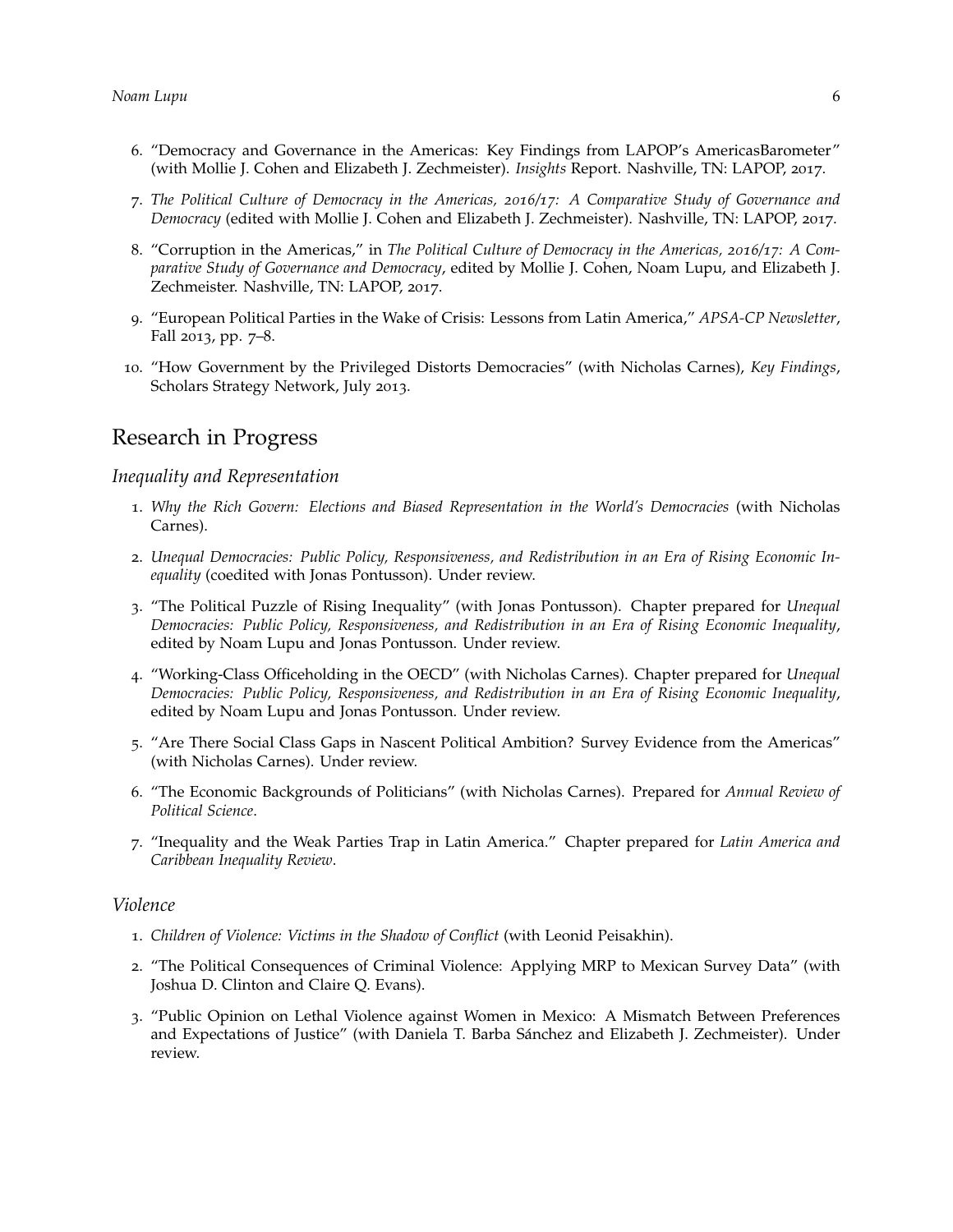- 6. "Democracy and Governance in the Americas: Key Findings from LAPOP's AmericasBarometer" (with Mollie J. Cohen and Elizabeth J. Zechmeister). *Insights* Report. Nashville, TN: LAPOP, 2017.
- 7. *The Political Culture of Democracy in the Americas, 2016/17: A Comparative Study of Governance and Democracy* (edited with Mollie J. Cohen and Elizabeth J. Zechmeister). Nashville, TN: LAPOP, 2017.
- 8. "Corruption in the Americas," in *The Political Culture of Democracy in the Americas, 2016/17: A Comparative Study of Governance and Democracy*, edited by Mollie J. Cohen, Noam Lupu, and Elizabeth J. Zechmeister. Nashville, TN: LAPOP, 2017.
- 9. "European Political Parties in the Wake of Crisis: Lessons from Latin America," *APSA-CP Newsletter*, Fall 2013, pp. 7–8.
- 10. "How Government by the Privileged Distorts Democracies" (with Nicholas Carnes), *Key Findings*, Scholars Strategy Network, July 2013.

### Research in Progress

#### *Inequality and Representation*

- 1. *Why the Rich Govern: Elections and Biased Representation in the World's Democracies* (with Nicholas Carnes).
- 2. *Unequal Democracies: Public Policy, Responsiveness, and Redistribution in an Era of Rising Economic Inequality* (coedited with Jonas Pontusson). Under review.
- 3. "The Political Puzzle of Rising Inequality" (with Jonas Pontusson). Chapter prepared for *Unequal Democracies: Public Policy, Responsiveness, and Redistribution in an Era of Rising Economic Inequality*, edited by Noam Lupu and Jonas Pontusson. Under review.
- 4. "Working-Class Officeholding in the OECD" (with Nicholas Carnes). Chapter prepared for *Unequal Democracies: Public Policy, Responsiveness, and Redistribution in an Era of Rising Economic Inequality*, edited by Noam Lupu and Jonas Pontusson. Under review.
- 5. "Are There Social Class Gaps in Nascent Political Ambition? Survey Evidence from the Americas" (with Nicholas Carnes). Under review.
- 6. "The Economic Backgrounds of Politicians" (with Nicholas Carnes). Prepared for *Annual Review of Political Science*.
- 7. "Inequality and the Weak Parties Trap in Latin America." Chapter prepared for *Latin America and Caribbean Inequality Review*.

#### *Violence*

- 1. *Children of Violence: Victims in the Shadow of Conflict* (with Leonid Peisakhin).
- 2. "The Political Consequences of Criminal Violence: Applying MRP to Mexican Survey Data" (with Joshua D. Clinton and Claire Q. Evans).
- 3. "Public Opinion on Lethal Violence against Women in Mexico: A Mismatch Between Preferences and Expectations of Justice" (with Daniela T. Barba Sánchez and Elizabeth J. Zechmeister). Under review.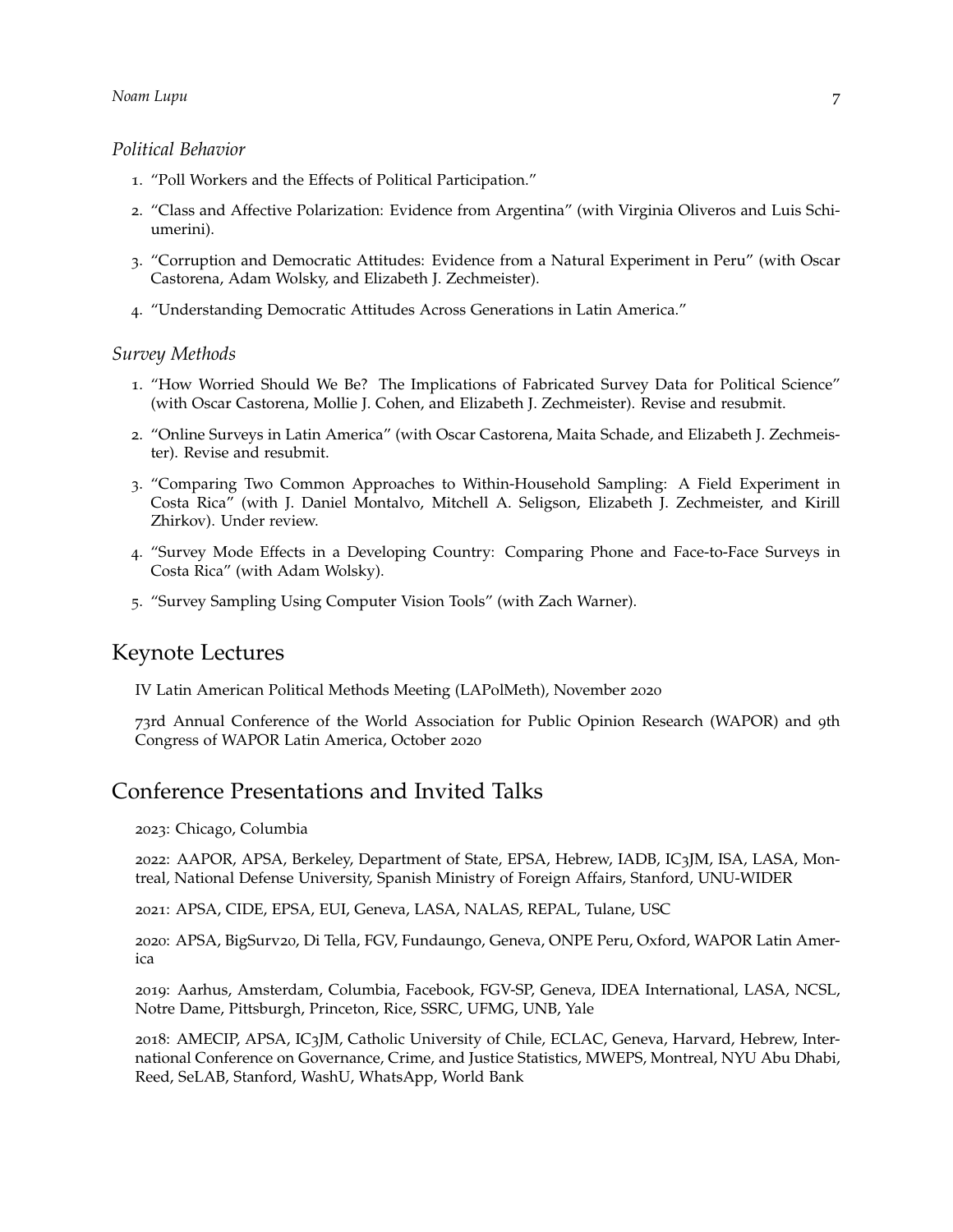### *Political Behavior*

- 1. "Poll Workers and the Effects of Political Participation."
- 2. "Class and Affective Polarization: Evidence from Argentina" (with Virginia Oliveros and Luis Schiumerini).
- 3. "Corruption and Democratic Attitudes: Evidence from a Natural Experiment in Peru" (with Oscar Castorena, Adam Wolsky, and Elizabeth J. Zechmeister).
- 4. "Understanding Democratic Attitudes Across Generations in Latin America."

#### *Survey Methods*

- 1. "How Worried Should We Be? The Implications of Fabricated Survey Data for Political Science" (with Oscar Castorena, Mollie J. Cohen, and Elizabeth J. Zechmeister). Revise and resubmit.
- 2. "Online Surveys in Latin America" (with Oscar Castorena, Maita Schade, and Elizabeth J. Zechmeister). Revise and resubmit.
- 3. "Comparing Two Common Approaches to Within-Household Sampling: A Field Experiment in Costa Rica" (with J. Daniel Montalvo, Mitchell A. Seligson, Elizabeth J. Zechmeister, and Kirill Zhirkov). Under review.
- 4. "Survey Mode Effects in a Developing Country: Comparing Phone and Face-to-Face Surveys in Costa Rica" (with Adam Wolsky).
- 5. "Survey Sampling Using Computer Vision Tools" (with Zach Warner).

### Keynote Lectures

IV Latin American Political Methods Meeting (LAPolMeth), November 2020

73rd Annual Conference of the World Association for Public Opinion Research (WAPOR) and 9th Congress of WAPOR Latin America, October 2020

### Conference Presentations and Invited Talks

2023: Chicago, Columbia

2022: AAPOR, APSA, Berkeley, Department of State, EPSA, Hebrew, IADB, IC3JM, ISA, LASA, Montreal, National Defense University, Spanish Ministry of Foreign Affairs, Stanford, UNU-WIDER

2021: APSA, CIDE, EPSA, EUI, Geneva, LASA, NALAS, REPAL, Tulane, USC

2020: APSA, BigSurv20, Di Tella, FGV, Fundaungo, Geneva, ONPE Peru, Oxford, WAPOR Latin America

2019: Aarhus, Amsterdam, Columbia, Facebook, FGV-SP, Geneva, IDEA International, LASA, NCSL, Notre Dame, Pittsburgh, Princeton, Rice, SSRC, UFMG, UNB, Yale

2018: AMECIP, APSA, IC3JM, Catholic University of Chile, ECLAC, Geneva, Harvard, Hebrew, International Conference on Governance, Crime, and Justice Statistics, MWEPS, Montreal, NYU Abu Dhabi, Reed, SeLAB, Stanford, WashU, WhatsApp, World Bank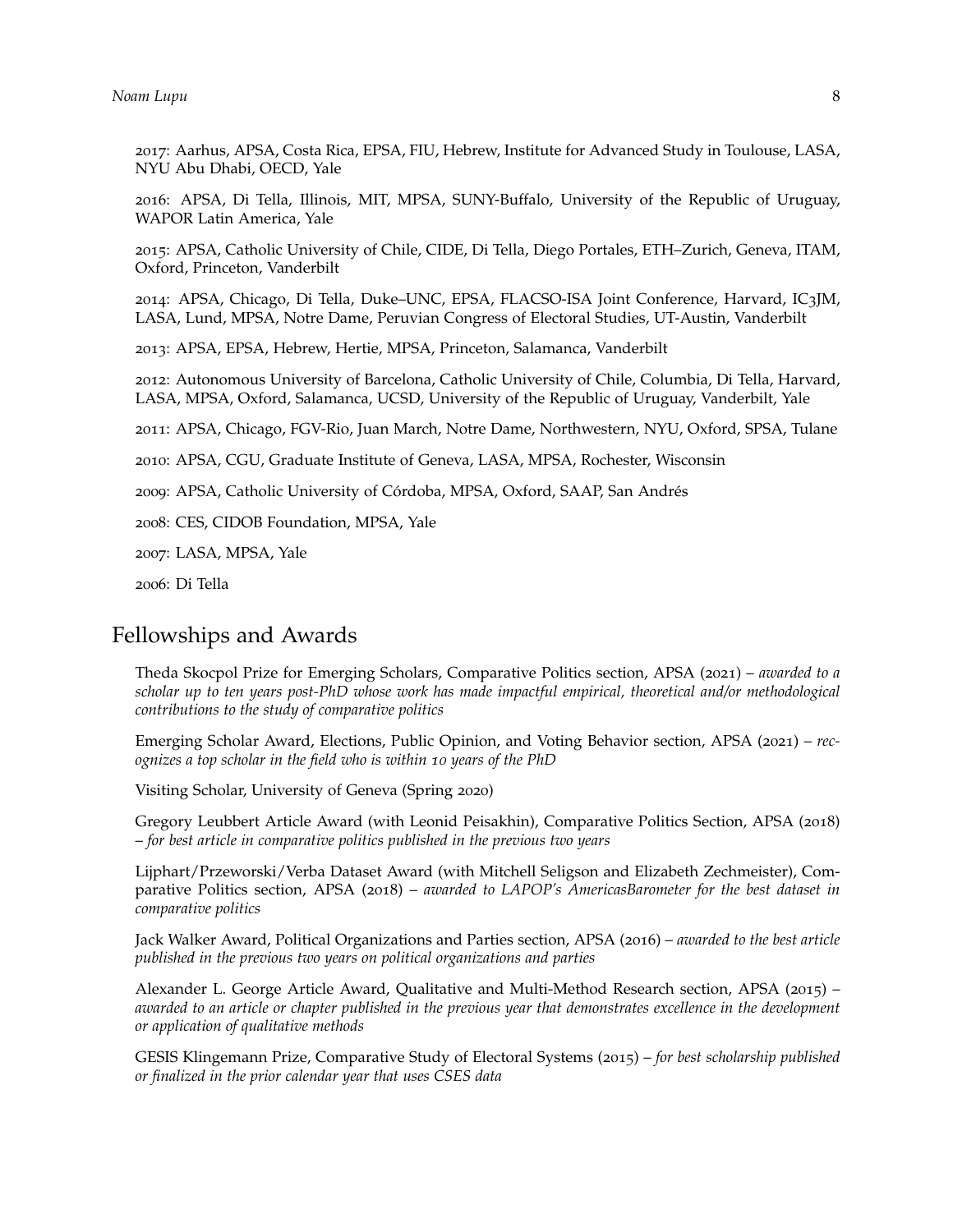2017: Aarhus, APSA, Costa Rica, EPSA, FIU, Hebrew, Institute for Advanced Study in Toulouse, LASA, NYU Abu Dhabi, OECD, Yale

2016: APSA, Di Tella, Illinois, MIT, MPSA, SUNY-Buffalo, University of the Republic of Uruguay, WAPOR Latin America, Yale

2015: APSA, Catholic University of Chile, CIDE, Di Tella, Diego Portales, ETH–Zurich, Geneva, ITAM, Oxford, Princeton, Vanderbilt

2014: APSA, Chicago, Di Tella, Duke–UNC, EPSA, FLACSO-ISA Joint Conference, Harvard, IC3JM, LASA, Lund, MPSA, Notre Dame, Peruvian Congress of Electoral Studies, UT-Austin, Vanderbilt

2013: APSA, EPSA, Hebrew, Hertie, MPSA, Princeton, Salamanca, Vanderbilt

2012: Autonomous University of Barcelona, Catholic University of Chile, Columbia, Di Tella, Harvard, LASA, MPSA, Oxford, Salamanca, UCSD, University of the Republic of Uruguay, Vanderbilt, Yale

2011: APSA, Chicago, FGV-Rio, Juan March, Notre Dame, Northwestern, NYU, Oxford, SPSA, Tulane

2010: APSA, CGU, Graduate Institute of Geneva, LASA, MPSA, Rochester, Wisconsin

2009: APSA, Catholic University of Córdoba, MPSA, Oxford, SAAP, San Andrés

2008: CES, CIDOB Foundation, MPSA, Yale

2007: LASA, MPSA, Yale

2006: Di Tella

# Fellowships and Awards

Theda Skocpol Prize for Emerging Scholars, Comparative Politics section, APSA (2021) – *awarded to a scholar up to ten years post-PhD whose work has made impactful empirical, theoretical and/or methodological contributions to the study of comparative politics*

Emerging Scholar Award, Elections, Public Opinion, and Voting Behavior section, APSA (2021) – *recognizes a top scholar in the field who is within 10 years of the PhD*

Visiting Scholar, University of Geneva (Spring 2020)

Gregory Leubbert Article Award (with Leonid Peisakhin), Comparative Politics Section, APSA (2018) – *for best article in comparative politics published in the previous two years*

Lijphart/Przeworski/Verba Dataset Award (with Mitchell Seligson and Elizabeth Zechmeister), Comparative Politics section, APSA (2018) – *awarded to LAPOP's AmericasBarometer for the best dataset in comparative politics*

Jack Walker Award, Political Organizations and Parties section, APSA (2016) – *awarded to the best article published in the previous two years on political organizations and parties*

Alexander L. George Article Award, Qualitative and Multi-Method Research section, APSA (2015) – *awarded to an article or chapter published in the previous year that demonstrates excellence in the development or application of qualitative methods*

GESIS Klingemann Prize, Comparative Study of Electoral Systems (2015) – *for best scholarship published or finalized in the prior calendar year that uses CSES data*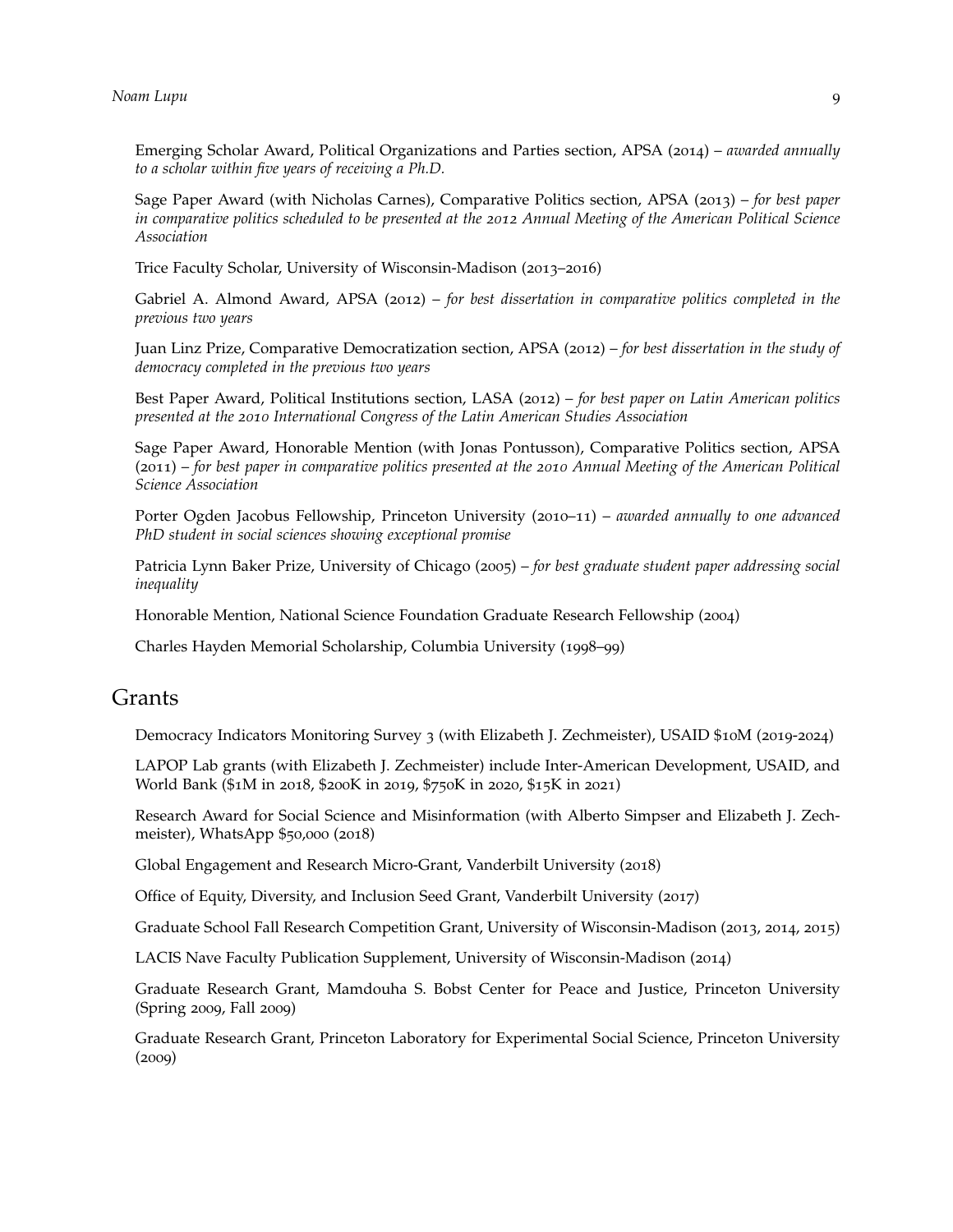Emerging Scholar Award, Political Organizations and Parties section, APSA (2014) – *awarded annually to a scholar within five years of receiving a Ph.D.*

Sage Paper Award (with Nicholas Carnes), Comparative Politics section, APSA (2013) – *for best paper in comparative politics scheduled to be presented at the 2012 Annual Meeting of the American Political Science Association*

Trice Faculty Scholar, University of Wisconsin-Madison (2013–2016)

Gabriel A. Almond Award, APSA (2012) – *for best dissertation in comparative politics completed in the previous two years*

Juan Linz Prize, Comparative Democratization section, APSA (2012) – *for best dissertation in the study of democracy completed in the previous two years*

Best Paper Award, Political Institutions section, LASA (2012) – *for best paper on Latin American politics presented at the 2010 International Congress of the Latin American Studies Association*

Sage Paper Award, Honorable Mention (with Jonas Pontusson), Comparative Politics section, APSA (2011) – *for best paper in comparative politics presented at the 2010 Annual Meeting of the American Political Science Association*

Porter Ogden Jacobus Fellowship, Princeton University (2010–11) – *awarded annually to one advanced PhD student in social sciences showing exceptional promise*

Patricia Lynn Baker Prize, University of Chicago (2005) – *for best graduate student paper addressing social inequality*

Honorable Mention, National Science Foundation Graduate Research Fellowship (2004)

Charles Hayden Memorial Scholarship, Columbia University (1998–99)

### Grants

Democracy Indicators Monitoring Survey 3 (with Elizabeth J. Zechmeister), USAID \$10M (2019-2024)

LAPOP Lab grants (with Elizabeth J. Zechmeister) include Inter-American Development, USAID, and World Bank (\$1M in 2018, \$200K in 2019, \$750K in 2020, \$15K in 2021)

Research Award for Social Science and Misinformation (with Alberto Simpser and Elizabeth J. Zechmeister), WhatsApp \$50,000 (2018)

Global Engagement and Research Micro-Grant, Vanderbilt University (2018)

Office of Equity, Diversity, and Inclusion Seed Grant, Vanderbilt University (2017)

Graduate School Fall Research Competition Grant, University of Wisconsin-Madison (2013, 2014, 2015)

LACIS Nave Faculty Publication Supplement, University of Wisconsin-Madison (2014)

Graduate Research Grant, Mamdouha S. Bobst Center for Peace and Justice, Princeton University (Spring 2009, Fall 2009)

Graduate Research Grant, Princeton Laboratory for Experimental Social Science, Princeton University (2009)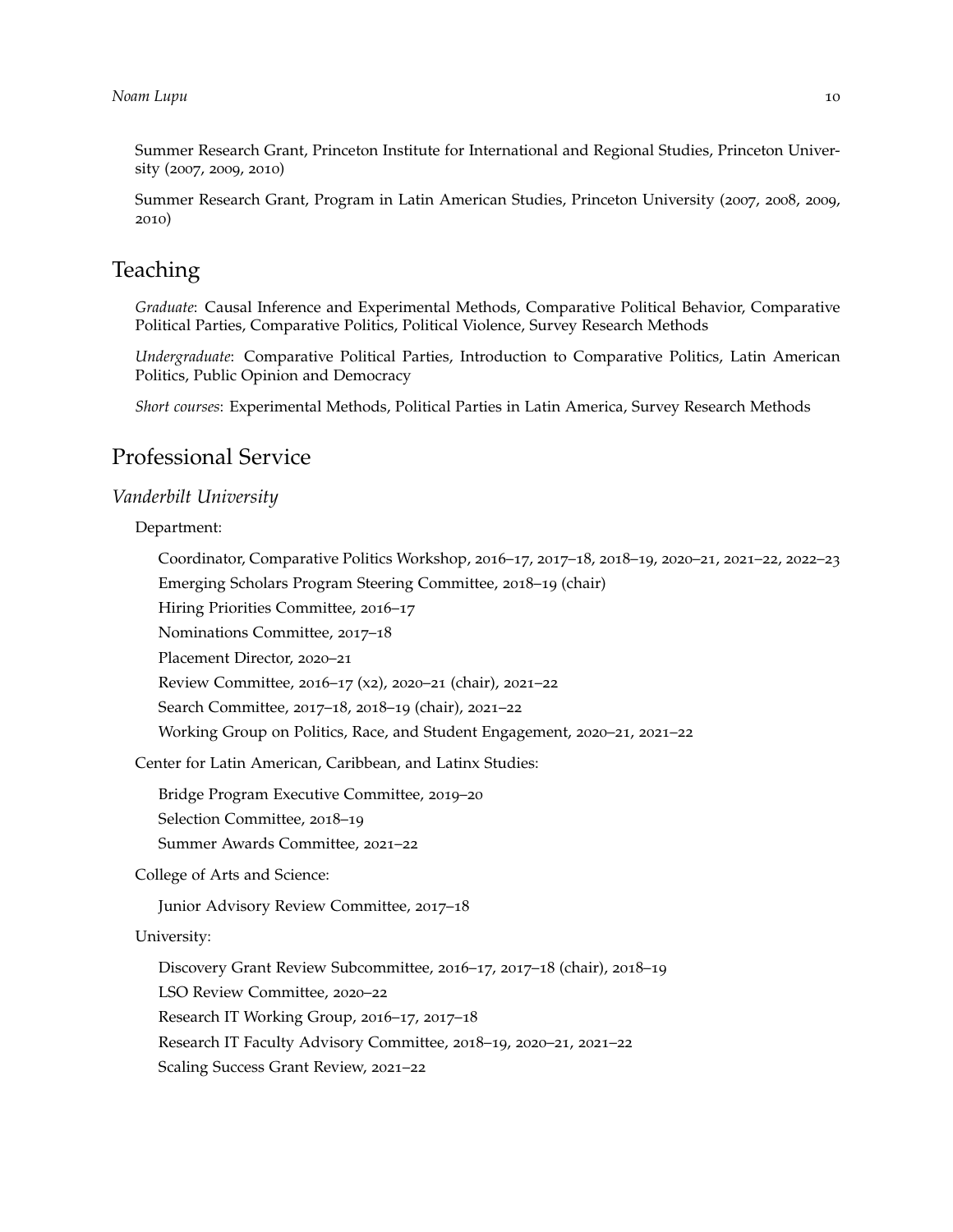Summer Research Grant, Princeton Institute for International and Regional Studies, Princeton University (2007, 2009, 2010)

Summer Research Grant, Program in Latin American Studies, Princeton University (2007, 2008, 2009, 2010)

## **Teaching**

*Graduate*: Causal Inference and Experimental Methods, Comparative Political Behavior, Comparative Political Parties, Comparative Politics, Political Violence, Survey Research Methods

*Undergraduate*: Comparative Political Parties, Introduction to Comparative Politics, Latin American Politics, Public Opinion and Democracy

*Short courses*: Experimental Methods, Political Parties in Latin America, Survey Research Methods

## Professional Service

### *Vanderbilt University*

Department:

Coordinator, Comparative Politics Workshop, 2016–17, 2017–18, 2018–19, 2020–21, 2021–22, 2022–23 Emerging Scholars Program Steering Committee, 2018–19 (chair) Hiring Priorities Committee, 2016–17 Nominations Committee, 2017–18 Placement Director, 2020–21 Review Committee, 2016–17 (x2), 2020–21 (chair), 2021–22 Search Committee, 2017–18, 2018–19 (chair), 2021–22 Working Group on Politics, Race, and Student Engagement, 2020–21, 2021–22 Center for Latin American, Caribbean, and Latinx Studies: Bridge Program Executive Committee, 2019–20

Selection Committee, 2018–19

Summer Awards Committee, 2021–22

College of Arts and Science:

Junior Advisory Review Committee, 2017–18

University:

Discovery Grant Review Subcommittee, 2016–17, 2017–18 (chair), 2018–19 LSO Review Committee, 2020–22 Research IT Working Group, 2016–17, 2017–18 Research IT Faculty Advisory Committee, 2018–19, 2020–21, 2021–22 Scaling Success Grant Review, 2021–22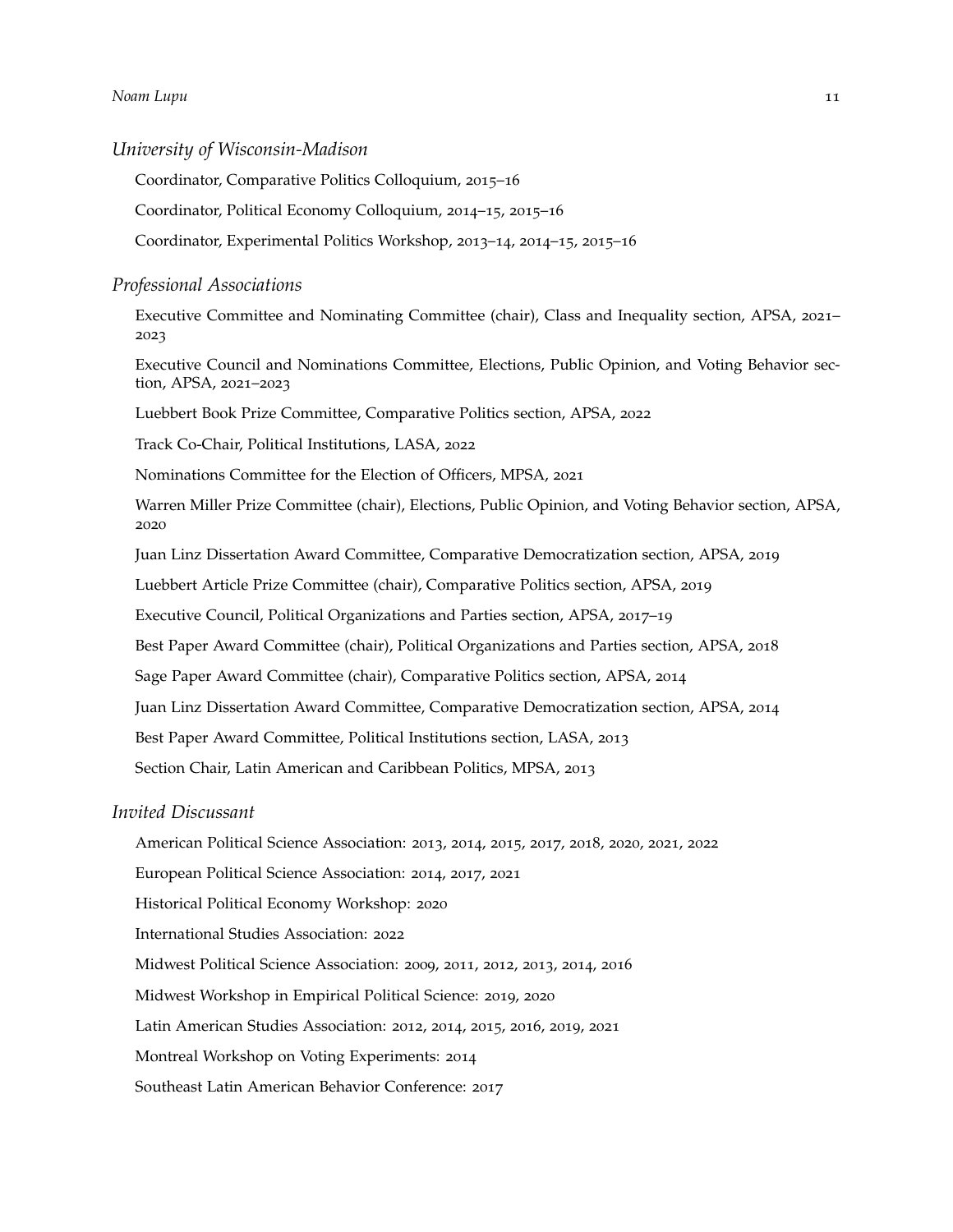### *Noam Lupu* 11

*University of Wisconsin-Madison*

Coordinator, Comparative Politics Colloquium, 2015–16

Coordinator, Political Economy Colloquium, 2014–15, 2015–16

Coordinator, Experimental Politics Workshop, 2013–14, 2014–15, 2015–16

#### *Professional Associations*

Executive Committee and Nominating Committee (chair), Class and Inequality section, APSA, 2021– 2023

Executive Council and Nominations Committee, Elections, Public Opinion, and Voting Behavior section, APSA, 2021–2023

Luebbert Book Prize Committee, Comparative Politics section, APSA, 2022

Track Co-Chair, Political Institutions, LASA, 2022

Nominations Committee for the Election of Officers, MPSA, 2021

Warren Miller Prize Committee (chair), Elections, Public Opinion, and Voting Behavior section, APSA, 2020

Juan Linz Dissertation Award Committee, Comparative Democratization section, APSA, 2019

Luebbert Article Prize Committee (chair), Comparative Politics section, APSA, 2019

Executive Council, Political Organizations and Parties section, APSA, 2017–19

Best Paper Award Committee (chair), Political Organizations and Parties section, APSA, 2018

Sage Paper Award Committee (chair), Comparative Politics section, APSA, 2014

Juan Linz Dissertation Award Committee, Comparative Democratization section, APSA, 2014

Best Paper Award Committee, Political Institutions section, LASA, 2013

Section Chair, Latin American and Caribbean Politics, MPSA, 2013

### *Invited Discussant*

American Political Science Association: 2013, 2014, 2015, 2017, 2018, 2020, 2021, 2022

European Political Science Association: 2014, 2017, 2021

Historical Political Economy Workshop: 2020

International Studies Association: 2022

Midwest Political Science Association: 2009, 2011, 2012, 2013, 2014, 2016

Midwest Workshop in Empirical Political Science: 2019, 2020

Latin American Studies Association: 2012, 2014, 2015, 2016, 2019, 2021

Montreal Workshop on Voting Experiments: 2014

Southeast Latin American Behavior Conference: 2017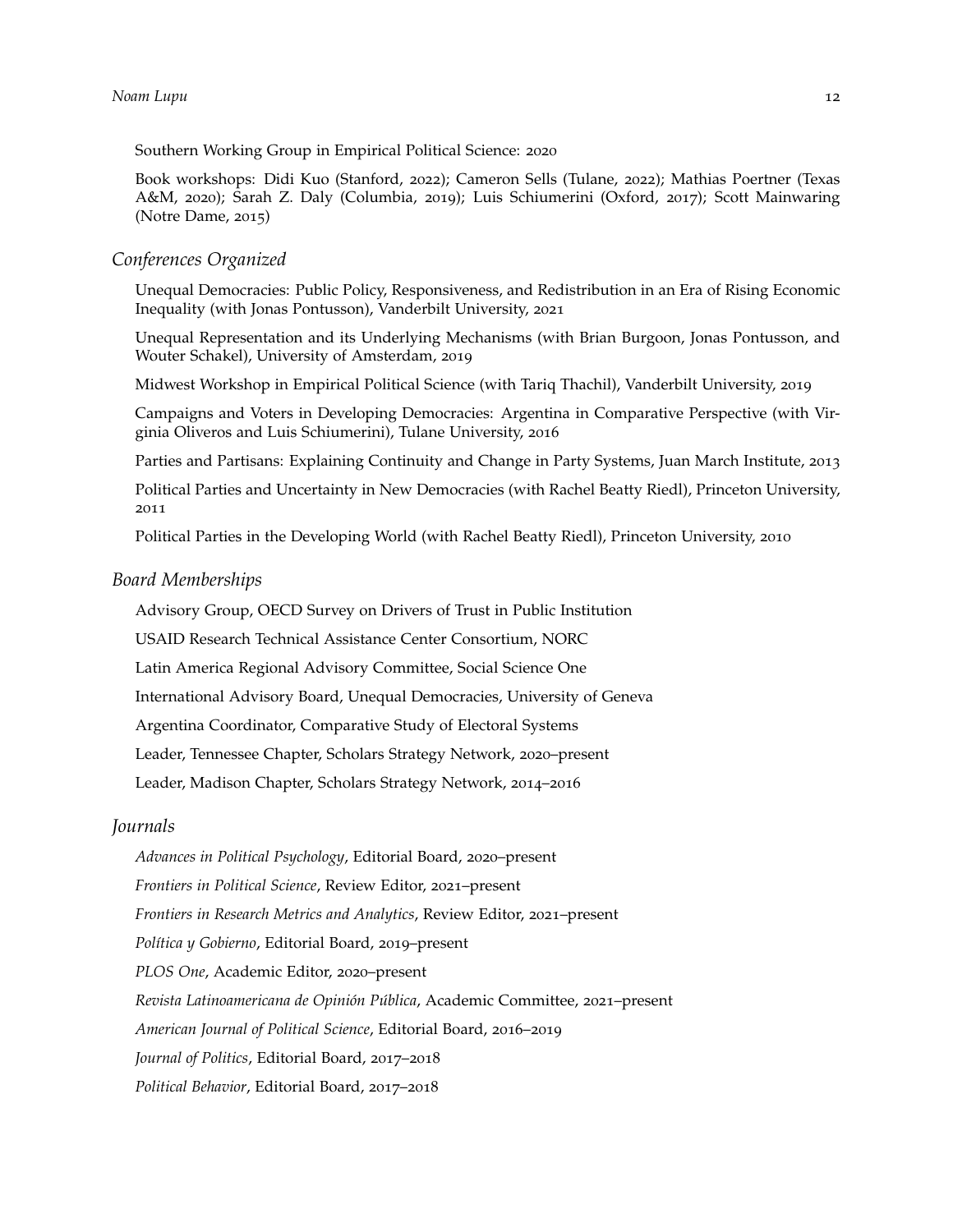Southern Working Group in Empirical Political Science: 2020

Book workshops: Didi Kuo (Stanford, 2022); Cameron Sells (Tulane, 2022); Mathias Poertner (Texas A&M, 2020); Sarah Z. Daly (Columbia, 2019); Luis Schiumerini (Oxford, 2017); Scott Mainwaring (Notre Dame, 2015)

#### *Conferences Organized*

Unequal Democracies: Public Policy, Responsiveness, and Redistribution in an Era of Rising Economic Inequality (with Jonas Pontusson), Vanderbilt University, 2021

Unequal Representation and its Underlying Mechanisms (with Brian Burgoon, Jonas Pontusson, and Wouter Schakel), University of Amsterdam, 2019

Midwest Workshop in Empirical Political Science (with Tariq Thachil), Vanderbilt University, 2019

Campaigns and Voters in Developing Democracies: Argentina in Comparative Perspective (with Virginia Oliveros and Luis Schiumerini), Tulane University, 2016

Parties and Partisans: Explaining Continuity and Change in Party Systems, Juan March Institute, 2013

Political Parties and Uncertainty in New Democracies (with Rachel Beatty Riedl), Princeton University, 2011

Political Parties in the Developing World (with Rachel Beatty Riedl), Princeton University, 2010

#### *Board Memberships*

Advisory Group, OECD Survey on Drivers of Trust in Public Institution

USAID Research Technical Assistance Center Consortium, NORC

Latin America Regional Advisory Committee, Social Science One

International Advisory Board, Unequal Democracies, University of Geneva

Argentina Coordinator, Comparative Study of Electoral Systems

Leader, Tennessee Chapter, Scholars Strategy Network, 2020–present

Leader, Madison Chapter, Scholars Strategy Network, 2014–2016

#### *Journals*

*Advances in Political Psychology*, Editorial Board, 2020–present *Frontiers in Political Science*, Review Editor, 2021–present *Frontiers in Research Metrics and Analytics*, Review Editor, 2021–present *Política y Gobierno*, Editorial Board, 2019–present *PLOS One*, Academic Editor, 2020–present *Revista Latinoamericana de Opinión Pública*, Academic Committee, 2021–present *American Journal of Political Science*, Editorial Board, 2016–2019 *Journal of Politics*, Editorial Board, 2017–2018 *Political Behavior*, Editorial Board, 2017–2018